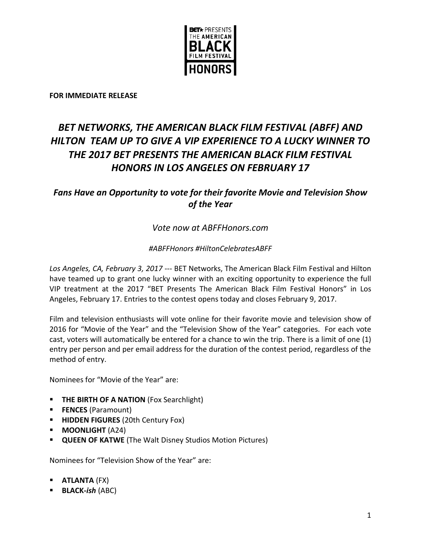

**FOR IMMEDIATE RELEASE**

# *BET NETWORKS, THE AMERICAN BLACK FILM FESTIVAL (ABFF) AND HILTON TEAM UP TO GIVE A VIP EXPERIENCE TO A LUCKY WINNER TO THE 2017 BET PRESENTS THE AMERICAN BLACK FILM FESTIVAL HONORS IN LOS ANGELES ON FEBRUARY 17*

# *Fans Have an Opportunity to vote for their favorite Movie and Television Show of the Year*

# *Vote now at ABFFHonors.com*

# *#ABFFHonors #HiltonCelebratesABFF*

*Los Angeles, CA, February 3, 2017* --- BET Networks, The American Black Film Festival and Hilton have teamed up to grant one lucky winner with an exciting opportunity to experience the full VIP treatment at the 2017 "BET Presents The American Black Film Festival Honors" in Los Angeles, February 17. Entries to the contest opens today and closes February 9, 2017.

Film and television enthusiasts will vote online for their favorite movie and television show of 2016 for "Movie of the Year" and the "Television Show of the Year" categories. For each vote cast, voters will automatically be entered for a chance to win the trip. There is a limit of one (1) entry per person and per email address for the duration of the contest period, regardless of the method of entry.

Nominees for "Movie of the Year" are:

- **THE BIRTH OF A NATION** (Fox Searchlight)
- **FENCES** (Paramount)
- **HIDDEN FIGURES** (20th Century Fox)
- **MOONLIGHT** (A24)
- **QUEEN OF KATWE** (The Walt Disney Studios Motion Pictures)

Nominees for "Television Show of the Year" are:

- **ATLANTA** (FX)
- **BLACK-***ish* (ABC)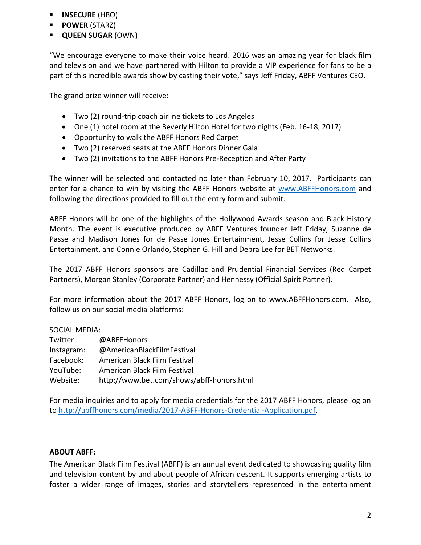- **INSECURE** (HBO)
- **POWER** (STARZ)
- **QUEEN SUGAR** (OWN**)**

"We encourage everyone to make their voice heard. 2016 was an amazing year for black film and television and we have partnered with Hilton to provide a VIP experience for fans to be a part of this incredible awards show by casting their vote," says Jeff Friday, ABFF Ventures CEO.

The grand prize winner will receive:

- Two (2) round-trip coach airline tickets to Los Angeles
- One (1) hotel room at the Beverly Hilton Hotel for two nights (Feb. 16-18, 2017)
- Opportunity to walk the ABFF Honors Red Carpet
- Two (2) reserved seats at the ABFF Honors Dinner Gala
- Two (2) invitations to the ABFF Honors Pre-Reception and After Party

The winner will be selected and contacted no later than February 10, 2017. Participants can enter for a chance to win by visiting the ABFF Honors website at [www.ABFFHonors.com](http://www.abffhonors.com/) and following the directions provided to fill out the entry form and submit.

ABFF Honors will be one of the highlights of the Hollywood Awards season and Black History Month. The event is executive produced by ABFF Ventures founder Jeff Friday, Suzanne de Passe and Madison Jones for de Passe Jones Entertainment, Jesse Collins for Jesse Collins Entertainment, and Connie Orlando, Stephen G. Hill and Debra Lee for BET Networks.

The 2017 ABFF Honors sponsors are Cadillac and Prudential Financial Services (Red Carpet Partners), Morgan Stanley (Corporate Partner) and Hennessy (Official Spirit Partner).

For more information about the 2017 ABFF Honors, log on to www.ABFFHonors.com. Also, follow us on our social media platforms:

## SOCIAL MEDIA:

| Twitter:   | @ABFFHonors                               |
|------------|-------------------------------------------|
| Instagram: | @AmericanBlackFilmFestival                |
| Facebook:  | American Black Film Festival              |
| YouTube:   | American Black Film Festival              |
| Website:   | http://www.bet.com/shows/abff-honors.html |

For media inquiries and to apply for media credentials for the 2017 ABFF Honors, please log on to [http://abffhonors.com/media/2017-ABFF-Honors-Credential-Application.pdf.](http://abffhonors.com/media/2017-ABFF-Honors-Credential-Application.pdf)

## **ABOUT ABFF:**

The American Black Film Festival (ABFF) is an annual event dedicated to showcasing quality film and television content by and about people of African descent. It supports emerging artists to foster a wider range of images, stories and storytellers represented in the entertainment